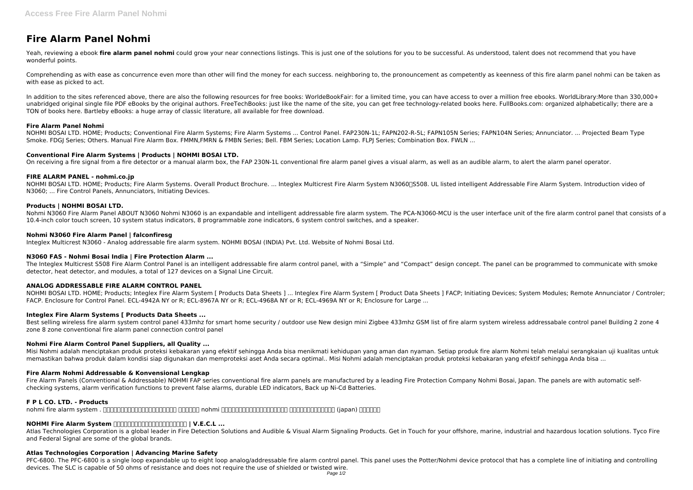# **Fire Alarm Panel Nohmi**

Yeah, reviewing a ebook *fire alarm panel nohmi* could grow your near connections listings. This is just one of the solutions for you to be successful. As understood, talent does not recommend that you have wonderful points.

Comprehending as with ease as concurrence even more than other will find the money for each success. neighboring to, the pronouncement as competently as keenness of this fire alarm panel nohmi can be taken as with ease as picked to act.

In addition to the sites referenced above, there are also the following resources for free books: WorldeBookFair: for a limited time, you can have access to over a million free ebooks. WorldLibrary:More than 330,000+ unabridged original single file PDF eBooks by the original authors. FreeTechBooks: just like the name of the site, you can get free technology-related books here. FullBooks.com: organized alphabetically; there are a TON of books here. Bartleby eBooks: a huge array of classic literature, all available for free download.

NOHMI BOSAI LTD. HOME; Products; Fire Alarm Systems. Overall Product Brochure. ... Integlex Multicrest Fire Alarm System N3060 3508. UL listed intelligent Addressable Fire Alarm System. Introduction video of N3060; ... Fire Control Panels, Annunciators, Initiating Devices.

#### **Fire Alarm Panel Nohmi**

NOHMI BOSAI LTD. HOME; Products; Conventional Fire Alarm Systems; Fire Alarm Systems ... Control Panel. FAP230N-1L; FAPN202-R-5L; FAPN105N Series; FAPN104N Series; Annunciator. ... Projected Beam Type Smoke. FDGJ Series; Others. Manual Fire Alarm Box. FMMN,FMRN & FMBN Series; Bell. FBM Series; Location Lamp. FLPJ Series; Combination Box. FWLN ...

Nohmi N3060 Fire Alarm Panel ABOUT N3060 Nohmi N3060 is an expandable and intelligent addressable fire alarm system. The PCA-N3060-MCU is the user interface unit of the fire alarm control panel that consists of a 10.4-inch color touch screen, 10 system status indicators, 8 programmable zone indicators, 6 system control switches, and a speaker.

The Integlex Multicrest S508 Fire Alarm Control Panel is an intelligent addressable fire alarm control panel, with a "Simple" and "Compact" design concept. The panel can be programmed to communicate with smoke detector, heat detector, and modules, a total of 127 devices on a Signal Line Circuit.

# **Conventional Fire Alarm Systems | Products | NOHMI BOSAI LTD.**

On receiving a fire signal from a fire detector or a manual alarm box, the FAP 230N-1L conventional fire alarm panel gives a visual alarm, as well as an audible alarm, to alert the alarm panel operator.

#### **FIRE ALARM PANEL - nohmi.co.jp**

#### **Products | NOHMI BOSAI LTD.**

#### **Nohmi N3060 Fire Alarm Panel | falconfiresg**

Integlex Multicrest N3060 - Analog addressable fire alarm system. NOHMI BOSAI (INDIA) Pvt. Ltd. Website of Nohmi Bosai Ltd.

# **N3060 FAS - Nohmi Bosai India | Fire Protection Alarm ...**

# **ANALOG ADDRESSABLE FIRE ALARM CONTROL PANEL**

NOHMI BOSAI LTD. HOME; Products; Integlex Fire Alarm System [ Products Data Sheets ] ... Integlex Fire Alarm System [ Product Data Sheets ] FACP; Initiating Devices; System Modules; Remote Annunciator / Controler; FACP. Enclosure for Control Panel. ECL-4942A NY or R; ECL-8967A NY or R; ECL-4968A NY or R; ECL-4969A NY or R; Enclosure for Large ...

# **Integlex Fire Alarm Systems [ Products Data Sheets ...**

Best selling wireless fire alarm system control panel 433mhz for smart home security / outdoor use New design mini Zigbee 433mhz GSM list of fire alarm system wireless addressabale control panel Building 2 zone 4 zone 8 zone conventional fire alarm panel connection control panel

# **Nohmi Fire Alarm Control Panel Suppliers, all Quality ...**

Misi Nohmi adalah menciptakan produk proteksi kebakaran yang efektif sehingga Anda bisa menikmati kehidupan yang aman dan nyaman. Setiap produk fire alarm Nohmi telah melalui serangkaian uji kualitas untuk memastikan bahwa produk dalam kondisi siap digunakan dan memproteksi aset Anda secara optimal.. Misi Nohmi adalah menciptakan produk proteksi kebakaran yang efektif sehingga Anda bisa ...

# **Fire Alarm Nohmi Addressable & Konvensional Lengkap**

Fire Alarm Panels (Conventional & Addressable) NOHMI FAP series conventional fire alarm panels are manufactured by a leading Fire Protection Company Nohmi Bosai, Japan. The panels are with automatic selfchecking systems, alarm verification functions to prevent false alarms, durable LED indicators, Back up Ni-Cd Batteries.

# **F P L CO. LTD. - Products**

nohmi fire alarm system . <u>הם המתחמם הם חם הם והם חם הם הם חם הם הם חם חם הם הם הם הם הם חם חם חם ח</u>

# **NOHMI Fire Alarm System CONCORDINATION INTEREST IN THE ALARM System CONCORDING INTERFERIT.**

Atlas Technologies Corporation is a global leader in Fire Detection Solutions and Audible & Visual Alarm Signaling Products. Get in Touch for your offshore, marine, industrial and hazardous location solutions. Tyco Fire and Federal Signal are some of the global brands.

# **Atlas Technologies Corporation | Advancing Marine Safety**

PFC-6800. The PFC-6800 is a single loop expandable up to eight loop analog/addressable fire alarm control panel. This panel uses the Potter/Nohmi device protocol that has a complete line of initiating and controlling devices. The SLC is capable of 50 ohms of resistance and does not require the use of shielded or twisted wire.